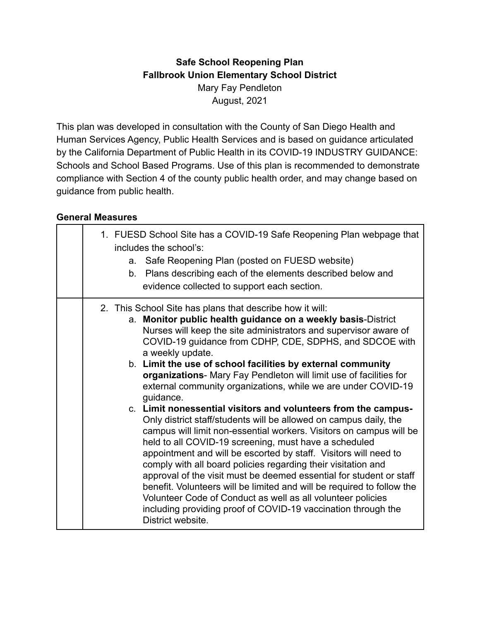# **Safe School Reopening Plan Fallbrook Union Elementary School District** Mary Fay Pendleton August, 2021

This plan was developed in consultation with the County of San Diego Health and Human Services Agency, Public Health Services and is based on guidance articulated by the California Department of Public Health in its COVID-19 INDUSTRY GUIDANCE: Schools and School Based Programs. Use of this plan is recommended to demonstrate compliance with Section 4 of the county public health order, and may change based on guidance from public health.

#### **General Measures**

|  | 1. FUESD School Site has a COVID-19 Safe Reopening Plan webpage that<br>includes the school's:<br>a. Safe Reopening Plan (posted on FUESD website)<br>b. Plans describing each of the elements described below and<br>evidence collected to support each section.                                                                                                                                                                                                                                                                                                                                                                                                                                                                                                                                                                                                                                                                                                                                                                                                                                                                                                                                                |
|--|------------------------------------------------------------------------------------------------------------------------------------------------------------------------------------------------------------------------------------------------------------------------------------------------------------------------------------------------------------------------------------------------------------------------------------------------------------------------------------------------------------------------------------------------------------------------------------------------------------------------------------------------------------------------------------------------------------------------------------------------------------------------------------------------------------------------------------------------------------------------------------------------------------------------------------------------------------------------------------------------------------------------------------------------------------------------------------------------------------------------------------------------------------------------------------------------------------------|
|  | 2. This School Site has plans that describe how it will:<br>a. Monitor public health guidance on a weekly basis-District<br>Nurses will keep the site administrators and supervisor aware of<br>COVID-19 guidance from CDHP, CDE, SDPHS, and SDCOE with<br>a weekly update.<br>b. Limit the use of school facilities by external community<br>organizations- Mary Fay Pendleton will limit use of facilities for<br>external community organizations, while we are under COVID-19<br>guidance.<br>c. Limit nonessential visitors and volunteers from the campus-<br>Only district staff/students will be allowed on campus daily, the<br>campus will limit non-essential workers. Visitors on campus will be<br>held to all COVID-19 screening, must have a scheduled<br>appointment and will be escorted by staff. Visitors will need to<br>comply with all board policies regarding their visitation and<br>approval of the visit must be deemed essential for student or staff<br>benefit. Volunteers will be limited and will be required to follow the<br>Volunteer Code of Conduct as well as all volunteer policies<br>including providing proof of COVID-19 vaccination through the<br>District website. |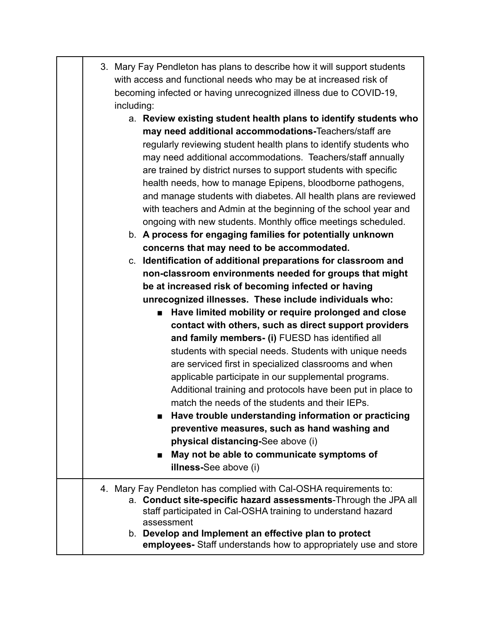| 3. Mary Fay Pendleton has plans to describe how it will support students |
|--------------------------------------------------------------------------|
| with access and functional needs who may be at increased risk of         |
| becoming infected or having unrecognized illness due to COVID-19,        |
| including:                                                               |

- a. **Review existing student health plans to identify students who may need additional accommodations-**Teachers/staff are regularly reviewing student health plans to identify students who may need additional accommodations. Teachers/staff annually are trained by district nurses to support students with specific health needs, how to manage Epipens, bloodborne pathogens, and manage students with diabetes. All health plans are reviewed with teachers and Admin at the beginning of the school year and ongoing with new students. Monthly office meetings scheduled.
- b. **A process for engaging families for potentially unknown concerns that may need to be accommodated.**

c. **Identification of additional preparations for classroom and non-classroom environments needed for groups that might be at increased risk of becoming infected or having unrecognized illnesses. These include individuals who:**

> ■ **Have limited mobility or require prolonged and close contact with others, such as direct support providers and family members- (i)** FUESD has identified all students with special needs. Students with unique needs are serviced first in specialized classrooms and when applicable participate in our supplemental programs. Additional training and protocols have been put in place to match the needs of the students and their IEPs.

- **■ Have trouble understanding information or practicing preventive measures, such as hand washing and physical distancing-**See above (i)
- May not be able to communicate symptoms of **illness-**See above (i)

#### 4. Mary Fay Pendleton has complied with Cal-OSHA requirements to: a. **Conduct site-specific hazard assessments**-Through the JPA all staff participated in Cal-OSHA training to understand hazard assessment b. **Develop and Implement an effective plan to protect**

**employees-** Staff understands how to appropriately use and store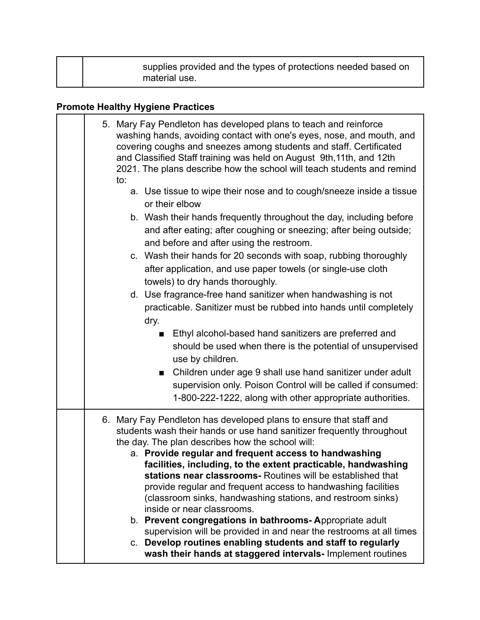| supplies provided and the types of protections needed based on<br>material use. |
|---------------------------------------------------------------------------------|
|---------------------------------------------------------------------------------|

# **Promote Healthy Hygiene Practices**

| 5. Mary Fay Pendleton has developed plans to teach and reinforce<br>washing hands, avoiding contact with one's eyes, nose, and mouth, and<br>covering coughs and sneezes among students and staff. Certificated<br>and Classified Staff training was held on August 9th, 11th, and 12th<br>2021. The plans describe how the school will teach students and remind<br>to: |
|--------------------------------------------------------------------------------------------------------------------------------------------------------------------------------------------------------------------------------------------------------------------------------------------------------------------------------------------------------------------------|
| a. Use tissue to wipe their nose and to cough/sneeze inside a tissue<br>or their elbow                                                                                                                                                                                                                                                                                   |
| b. Wash their hands frequently throughout the day, including before<br>and after eating; after coughing or sneezing; after being outside;<br>and before and after using the restroom.                                                                                                                                                                                    |
| c. Wash their hands for 20 seconds with soap, rubbing thoroughly<br>after application, and use paper towels (or single-use cloth<br>towels) to dry hands thoroughly.                                                                                                                                                                                                     |
| d. Use fragrance-free hand sanitizer when handwashing is not<br>practicable. Sanitizer must be rubbed into hands until completely<br>dry.                                                                                                                                                                                                                                |
| Ethyl alcohol-based hand sanitizers are preferred and<br>$\blacksquare$<br>should be used when there is the potential of unsupervised<br>use by children.                                                                                                                                                                                                                |
| Children under age 9 shall use hand sanitizer under adult<br>■<br>supervision only. Poison Control will be called if consumed:<br>1-800-222-1222, along with other appropriate authorities.                                                                                                                                                                              |
| 6. Mary Fay Pendleton has developed plans to ensure that staff and<br>students wash their hands or use hand sanitizer frequently throughout<br>the day. The plan describes how the school will:<br>a. Provide regular and frequent access to handwashing                                                                                                                 |
| facilities, including, to the extent practicable, handwashing<br>stations near classrooms- Routines will be established that<br>provide regular and frequent access to handwashing facilities<br>(classroom sinks, handwashing stations, and restroom sinks)<br>inside or near classrooms.                                                                               |
| b. Prevent congregations in bathrooms-Appropriate adult<br>supervision will be provided in and near the restrooms at all times<br>c. Develop routines enabling students and staff to regularly<br>wash their hands at staggered intervals- Implement routines                                                                                                            |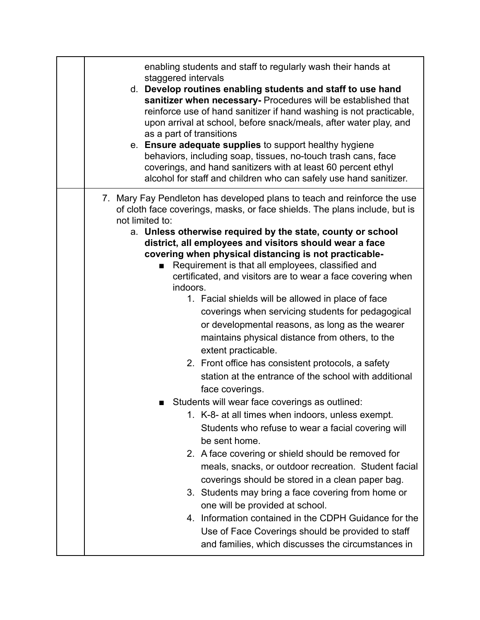| enabling students and staff to regularly wash their hands at<br>staggered intervals<br>d. Develop routines enabling students and staff to use hand<br>sanitizer when necessary- Procedures will be established that<br>reinforce use of hand sanitizer if hand washing is not practicable,<br>upon arrival at school, before snack/meals, after water play, and<br>as a part of transitions<br>e. Ensure adequate supplies to support healthy hygiene<br>behaviors, including soap, tissues, no-touch trash cans, face<br>coverings, and hand sanitizers with at least 60 percent ethyl<br>alcohol for staff and children who can safely use hand sanitizer.                                                                                                                                                                                                                                                                                                                                                                                                                                                                                                                                                                                                                                                                                                                                                                                                                                          |
|-------------------------------------------------------------------------------------------------------------------------------------------------------------------------------------------------------------------------------------------------------------------------------------------------------------------------------------------------------------------------------------------------------------------------------------------------------------------------------------------------------------------------------------------------------------------------------------------------------------------------------------------------------------------------------------------------------------------------------------------------------------------------------------------------------------------------------------------------------------------------------------------------------------------------------------------------------------------------------------------------------------------------------------------------------------------------------------------------------------------------------------------------------------------------------------------------------------------------------------------------------------------------------------------------------------------------------------------------------------------------------------------------------------------------------------------------------------------------------------------------------|
| 7. Mary Fay Pendleton has developed plans to teach and reinforce the use<br>of cloth face coverings, masks, or face shields. The plans include, but is<br>not limited to:<br>a. Unless otherwise required by the state, county or school<br>district, all employees and visitors should wear a face<br>covering when physical distancing is not practicable-<br>Requirement is that all employees, classified and<br>$\blacksquare$<br>certificated, and visitors are to wear a face covering when<br>indoors.<br>1. Facial shields will be allowed in place of face<br>coverings when servicing students for pedagogical<br>or developmental reasons, as long as the wearer<br>maintains physical distance from others, to the<br>extent practicable.<br>2. Front office has consistent protocols, a safety<br>station at the entrance of the school with additional<br>face coverings.<br>Students will wear face coverings as outlined:<br>1. K-8- at all times when indoors, unless exempt.<br>Students who refuse to wear a facial covering will<br>be sent home.<br>2. A face covering or shield should be removed for<br>meals, snacks, or outdoor recreation. Student facial<br>coverings should be stored in a clean paper bag.<br>3. Students may bring a face covering from home or<br>one will be provided at school.<br>4. Information contained in the CDPH Guidance for the<br>Use of Face Coverings should be provided to staff<br>and families, which discusses the circumstances in |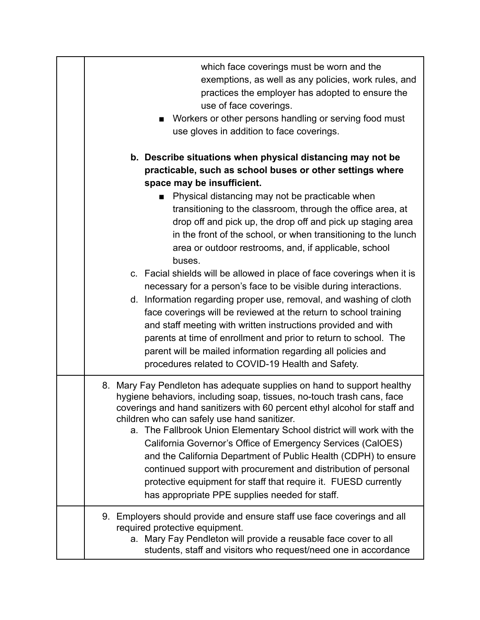| which face coverings must be worn and the<br>exemptions, as well as any policies, work rules, and<br>practices the employer has adopted to ensure the<br>use of face coverings.<br>Workers or other persons handling or serving food must<br>use gloves in addition to face coverings.                                                                                                                                                                                                                                                                                                                                                                                                                                                                                                                                                                                                                                                                                                                                         |
|--------------------------------------------------------------------------------------------------------------------------------------------------------------------------------------------------------------------------------------------------------------------------------------------------------------------------------------------------------------------------------------------------------------------------------------------------------------------------------------------------------------------------------------------------------------------------------------------------------------------------------------------------------------------------------------------------------------------------------------------------------------------------------------------------------------------------------------------------------------------------------------------------------------------------------------------------------------------------------------------------------------------------------|
| b. Describe situations when physical distancing may not be<br>practicable, such as school buses or other settings where<br>space may be insufficient.<br>Physical distancing may not be practicable when<br>transitioning to the classroom, through the office area, at<br>drop off and pick up, the drop off and pick up staging area<br>in the front of the school, or when transitioning to the lunch<br>area or outdoor restrooms, and, if applicable, school<br>buses.<br>c. Facial shields will be allowed in place of face coverings when it is<br>necessary for a person's face to be visible during interactions.<br>d. Information regarding proper use, removal, and washing of cloth<br>face coverings will be reviewed at the return to school training<br>and staff meeting with written instructions provided and with<br>parents at time of enrollment and prior to return to school. The<br>parent will be mailed information regarding all policies and<br>procedures related to COVID-19 Health and Safety. |
| 8. Mary Fay Pendleton has adequate supplies on hand to support healthy<br>hygiene behaviors, including soap, tissues, no-touch trash cans, face<br>coverings and hand sanitizers with 60 percent ethyl alcohol for staff and<br>children who can safely use hand sanitizer.<br>a. The Fallbrook Union Elementary School district will work with the<br>California Governor's Office of Emergency Services (CalOES)<br>and the California Department of Public Health (CDPH) to ensure<br>continued support with procurement and distribution of personal<br>protective equipment for staff that require it. FUESD currently<br>has appropriate PPE supplies needed for staff.                                                                                                                                                                                                                                                                                                                                                  |
| 9. Employers should provide and ensure staff use face coverings and all<br>required protective equipment.<br>a. Mary Fay Pendleton will provide a reusable face cover to all<br>students, staff and visitors who request/need one in accordance                                                                                                                                                                                                                                                                                                                                                                                                                                                                                                                                                                                                                                                                                                                                                                                |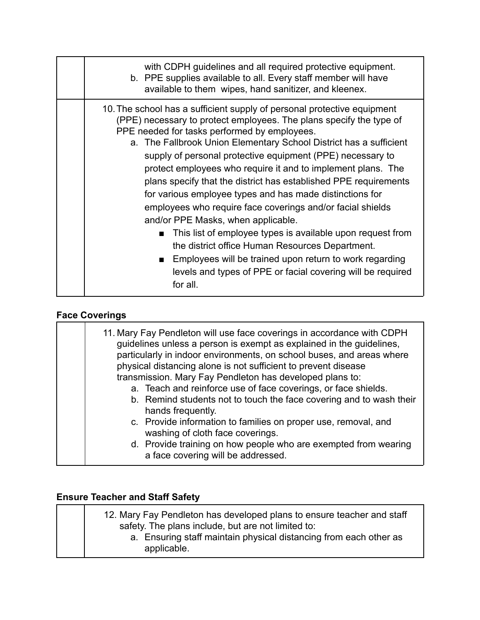| with CDPH guidelines and all required protective equipment.<br>b. PPE supplies available to all. Every staff member will have                                                                                                                                                                                                                                                                                                                                                                                                                                                                                                                                                                                                                                                                                    |
|------------------------------------------------------------------------------------------------------------------------------------------------------------------------------------------------------------------------------------------------------------------------------------------------------------------------------------------------------------------------------------------------------------------------------------------------------------------------------------------------------------------------------------------------------------------------------------------------------------------------------------------------------------------------------------------------------------------------------------------------------------------------------------------------------------------|
| available to them wipes, hand sanitizer, and kleenex.<br>10. The school has a sufficient supply of personal protective equipment<br>(PPE) necessary to protect employees. The plans specify the type of<br>PPE needed for tasks performed by employees.<br>a. The Fallbrook Union Elementary School District has a sufficient<br>supply of personal protective equipment (PPE) necessary to<br>protect employees who require it and to implement plans. The<br>plans specify that the district has established PPE requirements<br>for various employee types and has made distinctions for<br>employees who require face coverings and/or facial shields<br>and/or PPE Masks, when applicable.<br>This list of employee types is available upon request from<br>the district office Human Resources Department. |
| Employees will be trained upon return to work regarding<br>. .<br>levels and types of PPE or facial covering will be required<br>for all.                                                                                                                                                                                                                                                                                                                                                                                                                                                                                                                                                                                                                                                                        |

# **Face Coverings**

| 11. Mary Fay Pendleton will use face coverings in accordance with CDPH<br>guidelines unless a person is exempt as explained in the guidelines,<br>particularly in indoor environments, on school buses, and areas where<br>physical distancing alone is not sufficient to prevent disease<br>transmission. Mary Fay Pendleton has developed plans to:<br>a. Teach and reinforce use of face coverings, or face shields.<br>b. Remind students not to touch the face covering and to wash their<br>hands frequently.<br>c. Provide information to families on proper use, removal, and |
|---------------------------------------------------------------------------------------------------------------------------------------------------------------------------------------------------------------------------------------------------------------------------------------------------------------------------------------------------------------------------------------------------------------------------------------------------------------------------------------------------------------------------------------------------------------------------------------|
| washing of cloth face coverings.                                                                                                                                                                                                                                                                                                                                                                                                                                                                                                                                                      |
| d. Provide training on how people who are exempted from wearing<br>a face covering will be addressed.                                                                                                                                                                                                                                                                                                                                                                                                                                                                                 |
|                                                                                                                                                                                                                                                                                                                                                                                                                                                                                                                                                                                       |

# **Ensure Teacher and Staff Safety**

| 12. Mary Fay Pendleton has developed plans to ensure teacher and staff<br>safety. The plans include, but are not limited to: |
|------------------------------------------------------------------------------------------------------------------------------|
| a. Ensuring staff maintain physical distancing from each other as<br>applicable.                                             |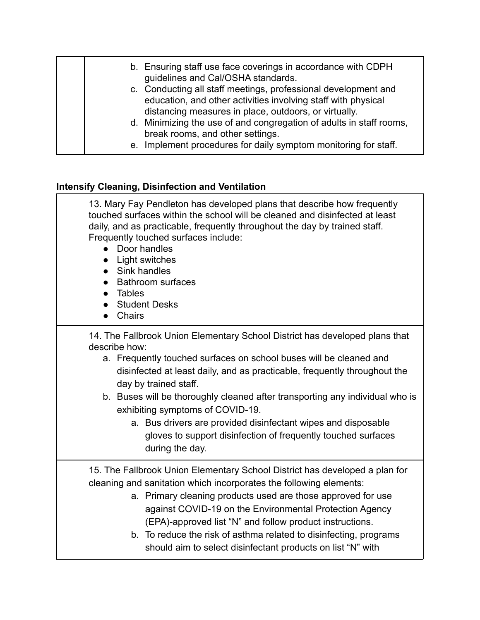| b. Ensuring staff use face coverings in accordance with CDPH<br>guidelines and Cal/OSHA standards.<br>c. Conducting all staff meetings, professional development and<br>education, and other activities involving staff with physical |
|---------------------------------------------------------------------------------------------------------------------------------------------------------------------------------------------------------------------------------------|
| distancing measures in place, outdoors, or virtually.<br>d. Minimizing the use of and congregation of adults in staff rooms,<br>break rooms, and other settings.<br>e. Implement procedures for daily symptom monitoring for staff.   |

# **Intensify Cleaning, Disinfection and Ventilation**

| 13. Mary Fay Pendleton has developed plans that describe how frequently<br>touched surfaces within the school will be cleaned and disinfected at least<br>daily, and as practicable, frequently throughout the day by trained staff.<br>Frequently touched surfaces include:<br>• Door handles<br>Light switches<br>Sink handles<br>$\bullet$<br><b>Bathroom surfaces</b><br>• Tables<br><b>Student Desks</b><br>Chairs<br>$\bullet$                                                                                                              |
|---------------------------------------------------------------------------------------------------------------------------------------------------------------------------------------------------------------------------------------------------------------------------------------------------------------------------------------------------------------------------------------------------------------------------------------------------------------------------------------------------------------------------------------------------|
| 14. The Fallbrook Union Elementary School District has developed plans that<br>describe how:<br>a. Frequently touched surfaces on school buses will be cleaned and<br>disinfected at least daily, and as practicable, frequently throughout the<br>day by trained staff.<br>b. Buses will be thoroughly cleaned after transporting any individual who is<br>exhibiting symptoms of COVID-19.<br>a. Bus drivers are provided disinfectant wipes and disposable<br>gloves to support disinfection of frequently touched surfaces<br>during the day. |
| 15. The Fallbrook Union Elementary School District has developed a plan for<br>cleaning and sanitation which incorporates the following elements:<br>a. Primary cleaning products used are those approved for use<br>against COVID-19 on the Environmental Protection Agency<br>(EPA)-approved list "N" and follow product instructions.<br>b. To reduce the risk of asthma related to disinfecting, programs<br>should aim to select disinfectant products on list "N" with                                                                      |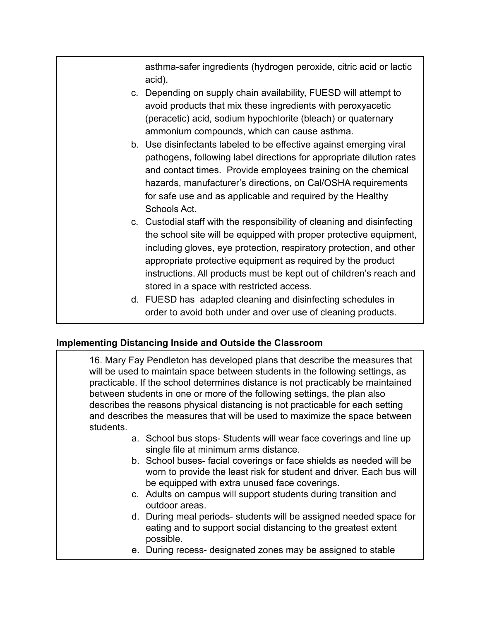asthma-safer ingredients (hydrogen peroxide, citric acid or lactic acid).

- c. Depending on supply chain availability, FUESD will attempt to avoid products that mix these ingredients with peroxyacetic (peracetic) acid, sodium hypochlorite (bleach) or quaternary ammonium compounds, which can cause asthma.
- b. Use disinfectants labeled to be effective against emerging viral pathogens, following label directions for appropriate dilution rates and contact times. Provide employees training on the chemical hazards, manufacturer's directions, on Cal/OSHA requirements for safe use and as applicable and required by the Healthy Schools Act.
- c. Custodial staff with the responsibility of cleaning and disinfecting the school site will be equipped with proper protective equipment, including gloves, eye protection, respiratory protection, and other appropriate protective equipment as required by the product instructions. All products must be kept out of children's reach and stored in a space with restricted access.
- d. FUESD has adapted cleaning and disinfecting schedules in order to avoid both under and over use of cleaning products.

#### **Implementing Distancing Inside and Outside the Classroom**

| 16. Mary Fay Pendleton has developed plans that describe the measures that<br>will be used to maintain space between students in the following settings, as<br>practicable. If the school determines distance is not practicably be maintained<br>between students in one or more of the following settings, the plan also<br>describes the reasons physical distancing is not practicable for each setting<br>and describes the measures that will be used to maximize the space between<br>students. |
|--------------------------------------------------------------------------------------------------------------------------------------------------------------------------------------------------------------------------------------------------------------------------------------------------------------------------------------------------------------------------------------------------------------------------------------------------------------------------------------------------------|
| a. School bus stops-Students will wear face coverings and line up<br>single file at minimum arms distance.<br>b. School buses-facial coverings or face shields as needed will be<br>worn to provide the least risk for student and driver. Each bus will<br>be equipped with extra unused face coverings.<br>c. Adults on campus will support students during transition and<br>outdoor areas.                                                                                                         |
| d. During meal periods-students will be assigned needed space for<br>eating and to support social distancing to the greatest extent<br>possible.                                                                                                                                                                                                                                                                                                                                                       |
| e. During recess- designated zones may be assigned to stable                                                                                                                                                                                                                                                                                                                                                                                                                                           |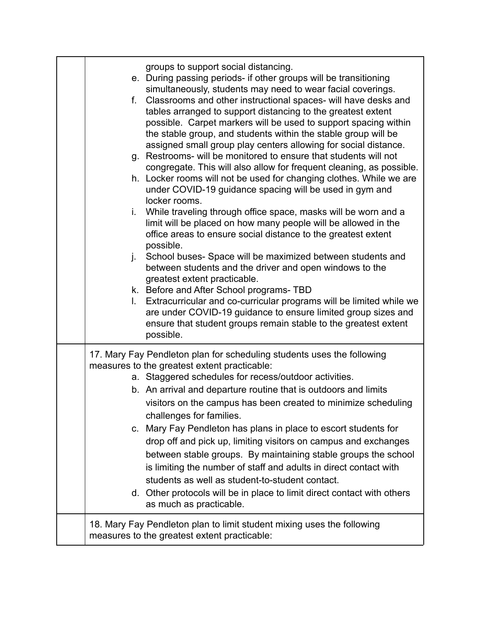| groups to support social distancing.<br>e. During passing periods- if other groups will be transitioning<br>simultaneously, students may need to wear facial coverings.<br>f. Classrooms and other instructional spaces- will have desks and<br>tables arranged to support distancing to the greatest extent<br>possible. Carpet markers will be used to support spacing within<br>the stable group, and students within the stable group will be<br>assigned small group play centers allowing for social distance.<br>g. Restrooms- will be monitored to ensure that students will not<br>congregate. This will also allow for frequent cleaning, as possible.<br>h. Locker rooms will not be used for changing clothes. While we are<br>under COVID-19 guidance spacing will be used in gym and<br>locker rooms.<br>While traveling through office space, masks will be worn and a<br>i.<br>limit will be placed on how many people will be allowed in the<br>office areas to ensure social distance to the greatest extent<br>possible.<br>School buses- Space will be maximized between students and<br>j.<br>between students and the driver and open windows to the<br>greatest extent practicable.<br>k. Before and After School programs- TBD<br>Extracurricular and co-curricular programs will be limited while we<br>$\mathbf{L}$<br>are under COVID-19 guidance to ensure limited group sizes and<br>ensure that student groups remain stable to the greatest extent<br>possible. |
|------------------------------------------------------------------------------------------------------------------------------------------------------------------------------------------------------------------------------------------------------------------------------------------------------------------------------------------------------------------------------------------------------------------------------------------------------------------------------------------------------------------------------------------------------------------------------------------------------------------------------------------------------------------------------------------------------------------------------------------------------------------------------------------------------------------------------------------------------------------------------------------------------------------------------------------------------------------------------------------------------------------------------------------------------------------------------------------------------------------------------------------------------------------------------------------------------------------------------------------------------------------------------------------------------------------------------------------------------------------------------------------------------------------------------------------------------------------------------------------------|
| 17. Mary Fay Pendleton plan for scheduling students uses the following<br>measures to the greatest extent practicable:<br>a. Staggered schedules for recess/outdoor activities.<br>b. An arrival and departure routine that is outdoors and limits<br>visitors on the campus has been created to minimize scheduling<br>challenges for families.<br>c. Mary Fay Pendleton has plans in place to escort students for<br>drop off and pick up, limiting visitors on campus and exchanges<br>between stable groups. By maintaining stable groups the school<br>is limiting the number of staff and adults in direct contact with<br>students as well as student-to-student contact.<br>d. Other protocols will be in place to limit direct contact with others<br>as much as practicable.                                                                                                                                                                                                                                                                                                                                                                                                                                                                                                                                                                                                                                                                                                         |
| 18. Mary Fay Pendleton plan to limit student mixing uses the following<br>measures to the greatest extent practicable:                                                                                                                                                                                                                                                                                                                                                                                                                                                                                                                                                                                                                                                                                                                                                                                                                                                                                                                                                                                                                                                                                                                                                                                                                                                                                                                                                                         |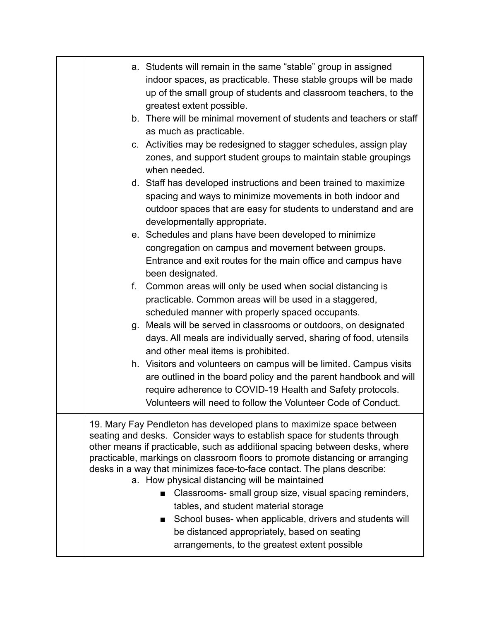| a. Students will remain in the same "stable" group in assigned<br>indoor spaces, as practicable. These stable groups will be made<br>up of the small group of students and classroom teachers, to the<br>greatest extent possible.<br>b. There will be minimal movement of students and teachers or staff<br>as much as practicable.<br>c. Activities may be redesigned to stagger schedules, assign play<br>zones, and support student groups to maintain stable groupings<br>when needed.<br>d. Staff has developed instructions and been trained to maximize<br>spacing and ways to minimize movements in both indoor and<br>outdoor spaces that are easy for students to understand and are<br>developmentally appropriate.<br>e. Schedules and plans have been developed to minimize<br>congregation on campus and movement between groups.<br>Entrance and exit routes for the main office and campus have<br>been designated.<br>Common areas will only be used when social distancing is<br>f.<br>practicable. Common areas will be used in a staggered,<br>scheduled manner with properly spaced occupants.<br>Meals will be served in classrooms or outdoors, on designated<br>g.<br>days. All meals are individually served, sharing of food, utensils<br>and other meal items is prohibited.<br>h. Visitors and volunteers on campus will be limited. Campus visits<br>are outlined in the board policy and the parent handbook and will<br>require adherence to COVID-19 Health and Safety protocols.<br>Volunteers will need to follow the Volunteer Code of Conduct. |
|-------------------------------------------------------------------------------------------------------------------------------------------------------------------------------------------------------------------------------------------------------------------------------------------------------------------------------------------------------------------------------------------------------------------------------------------------------------------------------------------------------------------------------------------------------------------------------------------------------------------------------------------------------------------------------------------------------------------------------------------------------------------------------------------------------------------------------------------------------------------------------------------------------------------------------------------------------------------------------------------------------------------------------------------------------------------------------------------------------------------------------------------------------------------------------------------------------------------------------------------------------------------------------------------------------------------------------------------------------------------------------------------------------------------------------------------------------------------------------------------------------------------------------------------------------------------------------------|
| 19. Mary Fay Pendleton has developed plans to maximize space between<br>seating and desks. Consider ways to establish space for students through<br>other means if practicable, such as additional spacing between desks, where<br>practicable, markings on classroom floors to promote distancing or arranging<br>desks in a way that minimizes face-to-face contact. The plans describe:<br>a. How physical distancing will be maintained<br>Classrooms- small group size, visual spacing reminders,<br>tables, and student material storage<br>School buses- when applicable, drivers and students will<br>$\mathbf{r}$<br>be distanced appropriately, based on seating<br>arrangements, to the greatest extent possible                                                                                                                                                                                                                                                                                                                                                                                                                                                                                                                                                                                                                                                                                                                                                                                                                                                         |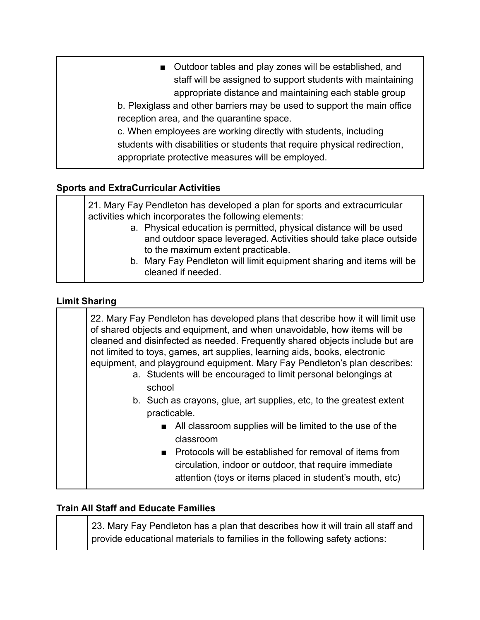| ■ Outdoor tables and play zones will be established, and<br>staff will be assigned to support students with maintaining<br>appropriate distance and maintaining each stable group<br>b. Plexiglass and other barriers may be used to support the main office<br>reception area, and the quarantine space.<br>c. When employees are working directly with students, including |
|------------------------------------------------------------------------------------------------------------------------------------------------------------------------------------------------------------------------------------------------------------------------------------------------------------------------------------------------------------------------------|
| students with disabilities or students that require physical redirection,<br>appropriate protective measures will be employed.                                                                                                                                                                                                                                               |

# **Sports and ExtraCurricular Activities**

| 21. Mary Fay Pendleton has developed a plan for sports and extracurricular<br>activities which incorporates the following elements:                                           |
|-------------------------------------------------------------------------------------------------------------------------------------------------------------------------------|
| a. Physical education is permitted, physical distance will be used<br>and outdoor space leveraged. Activities should take place outside<br>to the maximum extent practicable. |
| b. Mary Fay Pendleton will limit equipment sharing and items will be<br>cleaned if needed.                                                                                    |

#### **Limit Sharing**

| 22. Mary Fay Pendleton has developed plans that describe how it will limit use<br>of shared objects and equipment, and when unavoidable, how items will be<br>cleaned and disinfected as needed. Frequently shared objects include but are<br>not limited to toys, games, art supplies, learning aids, books, electronic<br>equipment, and playground equipment. Mary Fay Pendleton's plan describes:<br>a. Students will be encouraged to limit personal belongings at<br>school<br>b. Such as crayons, glue, art supplies, etc, to the greatest extent<br>practicable. |
|--------------------------------------------------------------------------------------------------------------------------------------------------------------------------------------------------------------------------------------------------------------------------------------------------------------------------------------------------------------------------------------------------------------------------------------------------------------------------------------------------------------------------------------------------------------------------|
| ■ All classroom supplies will be limited to the use of the<br>classroom<br>■ Protocols will be established for removal of items from<br>circulation, indoor or outdoor, that require immediate<br>attention (toys or items placed in student's mouth, etc)                                                                                                                                                                                                                                                                                                               |

#### **Train All Staff and Educate Families**

23. Mary Fay Pendleton has a plan that describes how it will train all staff and provide educational materials to families in the following safety actions: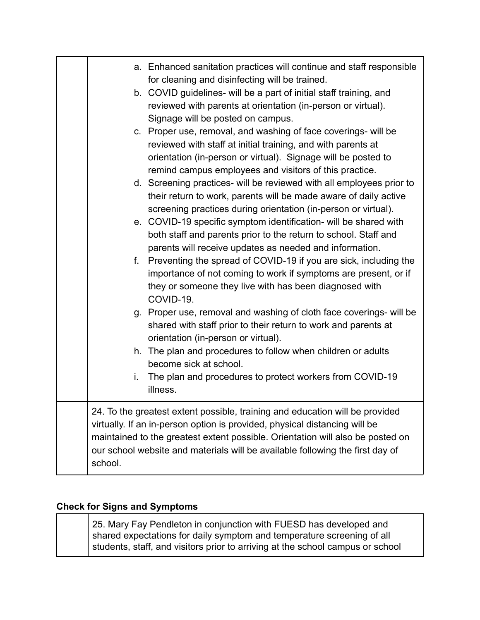| a. Enhanced sanitation practices will continue and staff responsible<br>for cleaning and disinfecting will be trained.<br>b. COVID guidelines- will be a part of initial staff training, and<br>reviewed with parents at orientation (in-person or virtual).<br>Signage will be posted on campus.<br>c. Proper use, removal, and washing of face coverings- will be<br>reviewed with staff at initial training, and with parents at<br>orientation (in-person or virtual). Signage will be posted to<br>remind campus employees and visitors of this practice.<br>d. Screening practices- will be reviewed with all employees prior to<br>their return to work, parents will be made aware of daily active<br>screening practices during orientation (in-person or virtual).<br>e. COVID-19 specific symptom identification- will be shared with<br>both staff and parents prior to the return to school. Staff and<br>parents will receive updates as needed and information.<br>Preventing the spread of COVID-19 if you are sick, including the<br>f.<br>importance of not coming to work if symptoms are present, or if<br>they or someone they live with has been diagnosed with<br>COVID-19.<br>g. Proper use, removal and washing of cloth face coverings- will be<br>shared with staff prior to their return to work and parents at<br>orientation (in-person or virtual).<br>h. The plan and procedures to follow when children or adults<br>become sick at school.<br>The plan and procedures to protect workers from COVID-19<br>i. |
|------------------------------------------------------------------------------------------------------------------------------------------------------------------------------------------------------------------------------------------------------------------------------------------------------------------------------------------------------------------------------------------------------------------------------------------------------------------------------------------------------------------------------------------------------------------------------------------------------------------------------------------------------------------------------------------------------------------------------------------------------------------------------------------------------------------------------------------------------------------------------------------------------------------------------------------------------------------------------------------------------------------------------------------------------------------------------------------------------------------------------------------------------------------------------------------------------------------------------------------------------------------------------------------------------------------------------------------------------------------------------------------------------------------------------------------------------------------------------------------------------------------------------------------------|
| illness.                                                                                                                                                                                                                                                                                                                                                                                                                                                                                                                                                                                                                                                                                                                                                                                                                                                                                                                                                                                                                                                                                                                                                                                                                                                                                                                                                                                                                                                                                                                                       |
| 24. To the greatest extent possible, training and education will be provided<br>virtually. If an in-person option is provided, physical distancing will be<br>maintained to the greatest extent possible. Orientation will also be posted on<br>our school website and materials will be available following the first day of<br>school.                                                                                                                                                                                                                                                                                                                                                                                                                                                                                                                                                                                                                                                                                                                                                                                                                                                                                                                                                                                                                                                                                                                                                                                                       |

# **Check for Signs and Symptoms**

25. Mary Fay Pendleton in conjunction with FUESD has developed and shared expectations for daily symptom and temperature screening of all students, staff, and visitors prior to arriving at the school campus or school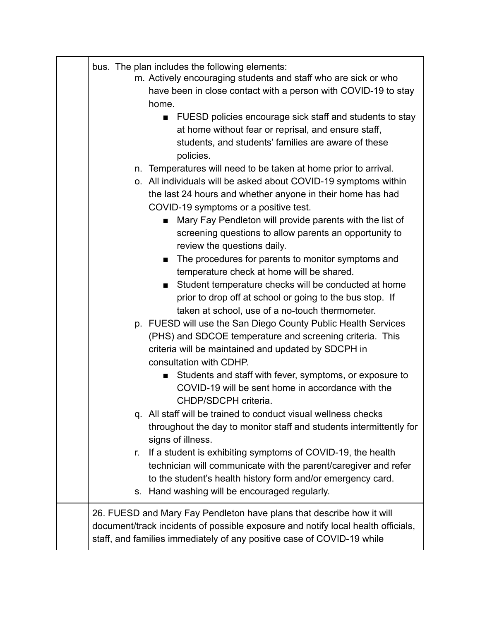| bus. The plan includes the following elements:<br>m. Actively encouraging students and staff who are sick or who<br>have been in close contact with a person with COVID-19 to stay<br>home.<br>FUESD policies encourage sick staff and students to stay<br>■<br>at home without fear or reprisal, and ensure staff,<br>students, and students' families are aware of these<br>policies.<br>Temperatures will need to be taken at home prior to arrival.<br>n.<br>o. All individuals will be asked about COVID-19 symptoms within<br>the last 24 hours and whether anyone in their home has had<br>COVID-19 symptoms or a positive test.<br>Mary Fay Pendleton will provide parents with the list of<br>$\blacksquare$<br>screening questions to allow parents an opportunity to<br>review the questions daily.<br>The procedures for parents to monitor symptoms and<br>■<br>temperature check at home will be shared.<br>Student temperature checks will be conducted at home<br>prior to drop off at school or going to the bus stop. If<br>taken at school, use of a no-touch thermometer.<br>p. FUESD will use the San Diego County Public Health Services |
|----------------------------------------------------------------------------------------------------------------------------------------------------------------------------------------------------------------------------------------------------------------------------------------------------------------------------------------------------------------------------------------------------------------------------------------------------------------------------------------------------------------------------------------------------------------------------------------------------------------------------------------------------------------------------------------------------------------------------------------------------------------------------------------------------------------------------------------------------------------------------------------------------------------------------------------------------------------------------------------------------------------------------------------------------------------------------------------------------------------------------------------------------------------|
| criteria will be maintained and updated by SDCPH in<br>consultation with CDHP.<br>Students and staff with fever, symptoms, or exposure to<br>■<br>COVID-19 will be sent home in accordance with the<br>CHDP/SDCPH criteria.                                                                                                                                                                                                                                                                                                                                                                                                                                                                                                                                                                                                                                                                                                                                                                                                                                                                                                                                    |
| q. All staff will be trained to conduct visual wellness checks<br>throughout the day to monitor staff and students intermittently for<br>signs of illness.<br>If a student is exhibiting symptoms of COVID-19, the health<br>r.<br>technician will communicate with the parent/caregiver and refer<br>to the student's health history form and/or emergency card.                                                                                                                                                                                                                                                                                                                                                                                                                                                                                                                                                                                                                                                                                                                                                                                              |
| Hand washing will be encouraged regularly.<br>$S_{-}$<br>26. FUESD and Mary Fay Pendleton have plans that describe how it will<br>document/track incidents of possible exposure and notify local health officials,<br>staff, and families immediately of any positive case of COVID-19 while                                                                                                                                                                                                                                                                                                                                                                                                                                                                                                                                                                                                                                                                                                                                                                                                                                                                   |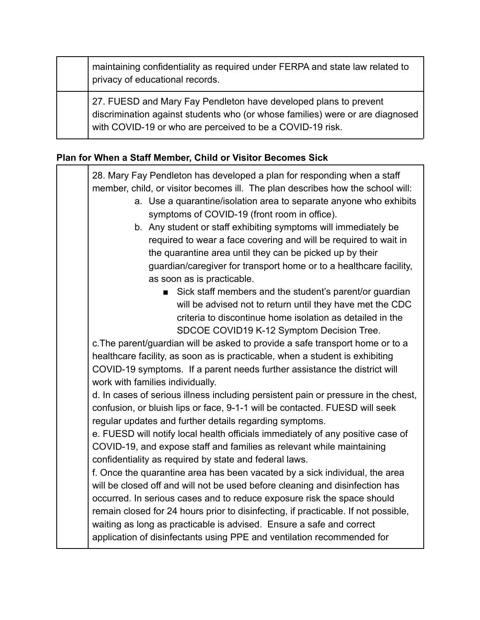| maintaining confidentiality as required under FERPA and state law related to<br>privacy of educational records.                                                                                                |
|----------------------------------------------------------------------------------------------------------------------------------------------------------------------------------------------------------------|
| 27. FUESD and Mary Fay Pendleton have developed plans to prevent<br>discrimination against students who (or whose families) were or are diagnosed<br>with COVID-19 or who are perceived to be a COVID-19 risk. |

### **Plan for When a Staff Member, Child or Visitor Becomes Sick**

28. Mary Fay Pendleton has developed a plan for responding when a staff member, child, or visitor becomes ill. The plan describes how the school will: a. Use a quarantine/isolation area to separate anyone who exhibits symptoms of COVID-19 (front room in office). b. Any student or staff exhibiting symptoms will immediately be required to wear a face covering and will be required to wait in the quarantine area until they can be picked up by their guardian/caregiver for transport home or to a healthcare facility, as soon as is practicable. ■ Sick staff members and the student's parent/or guardian will be advised not to return until they have met the CDC criteria to discontinue home isolation as detailed in the SDCOE COVID19 K-12 Symptom Decision Tree. c.The parent/guardian will be asked to provide a safe transport home or to a healthcare facility, as soon as is practicable, when a student is exhibiting COVID-19 symptoms. If a parent needs further assistance the district will work with families individually. d. In cases of serious illness including persistent pain or pressure in the chest, confusion, or bluish lips or face, 9-1-1 will be contacted. FUESD will seek regular updates and further details regarding symptoms. e. FUESD will notify local health officials immediately of any positive case of COVID-19, and expose staff and families as relevant while maintaining confidentiality as required by state and federal laws. f. Once the quarantine area has been vacated by a sick individual, the area will be closed off and will not be used before cleaning and disinfection has occurred. In serious cases and to reduce exposure risk the space should remain closed for 24 hours prior to disinfecting, if practicable. If not possible, waiting as long as practicable is advised. Ensure a safe and correct application of disinfectants using PPE and ventilation recommended for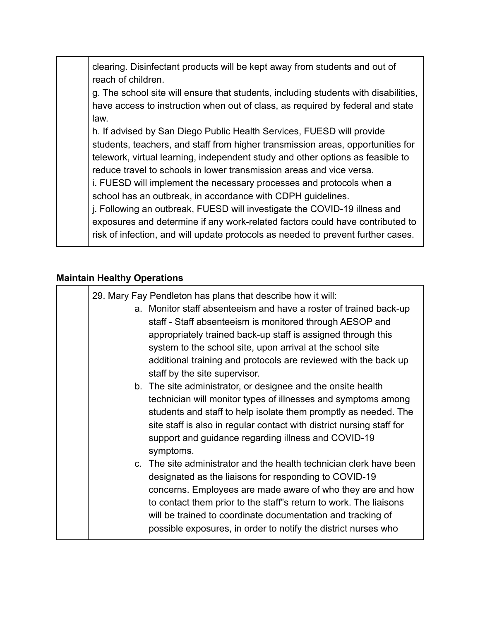clearing. Disinfectant products will be kept away from students and out of reach of children.

g. The school site will ensure that students, including students with disabilities, have access to instruction when out of class, as required by federal and state law.

h. If advised by San Diego Public Health Services, FUESD will provide students, teachers, and staff from higher transmission areas, opportunities for telework, virtual learning, independent study and other options as feasible to reduce travel to schools in lower transmission areas and vice versa.

i. FUESD will implement the necessary processes and protocols when a school has an outbreak, in accordance with CDPH guidelines.

j. Following an outbreak, FUESD will investigate the COVID-19 illness and exposures and determine if any work-related factors could have contributed to risk of infection, and will update protocols as needed to prevent further cases.

#### **Maintain Healthy Operations**

|  | 29. Mary Fay Pendleton has plans that describe how it will:<br>a. Monitor staff absenteeism and have a roster of trained back-up<br>staff - Staff absenteeism is monitored through AESOP and<br>appropriately trained back-up staff is assigned through this<br>system to the school site, upon arrival at the school site<br>additional training and protocols are reviewed with the back up<br>staff by the site supervisor. |
|--|--------------------------------------------------------------------------------------------------------------------------------------------------------------------------------------------------------------------------------------------------------------------------------------------------------------------------------------------------------------------------------------------------------------------------------|
|  | b. The site administrator, or designee and the onsite health<br>technician will monitor types of illnesses and symptoms among<br>students and staff to help isolate them promptly as needed. The<br>site staff is also in regular contact with district nursing staff for<br>support and guidance regarding illness and COVID-19<br>symptoms.                                                                                  |
|  | c. The site administrator and the health technician clerk have been<br>designated as the liaisons for responding to COVID-19<br>concerns. Employees are made aware of who they are and how<br>to contact them prior to the staff"s return to work. The liaisons<br>will be trained to coordinate documentation and tracking of<br>possible exposures, in order to notify the district nurses who                               |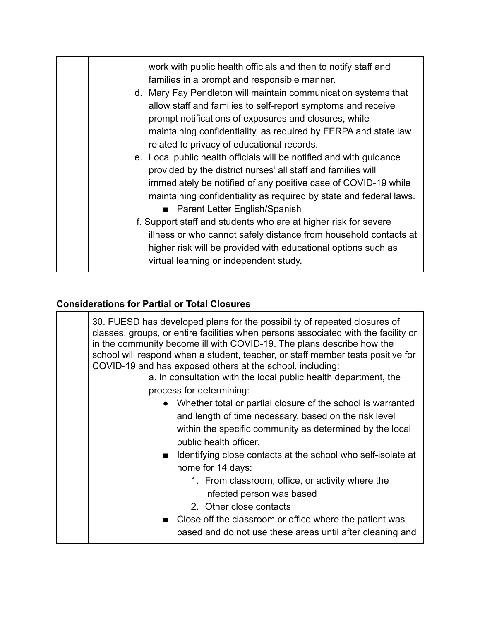| work with public health officials and then to notify staff and<br>families in a prompt and responsible manner. |
|----------------------------------------------------------------------------------------------------------------|
|                                                                                                                |
| d. Mary Fay Pendleton will maintain communication systems that                                                 |
| allow staff and families to self-report symptoms and receive                                                   |
| prompt notifications of exposures and closures, while                                                          |
| maintaining confidentiality, as required by FERPA and state law                                                |
| related to privacy of educational records.                                                                     |
| e. Local public health officials will be notified and with guidance                                            |
| provided by the district nurses' all staff and families will                                                   |
| immediately be notified of any positive case of COVID-19 while                                                 |
| maintaining confidentiality as required by state and federal laws.                                             |
| ■ Parent Letter English/Spanish                                                                                |
| f. Support staff and students who are at higher risk for severe                                                |
| illness or who cannot safely distance from household contacts at                                               |
| higher risk will be provided with educational options such as                                                  |
| virtual learning or independent study.                                                                         |
|                                                                                                                |

# **Considerations for Partial or Total Closures**

| 30. FUESD has developed plans for the possibility of repeated closures of<br>classes, groups, or entire facilities when persons associated with the facility or<br>in the community become ill with COVID-19. The plans describe how the<br>school will respond when a student, teacher, or staff member tests positive for<br>COVID-19 and has exposed others at the school, including:<br>a. In consultation with the local public health department, the<br>process for determining: |
|-----------------------------------------------------------------------------------------------------------------------------------------------------------------------------------------------------------------------------------------------------------------------------------------------------------------------------------------------------------------------------------------------------------------------------------------------------------------------------------------|
| • Whether total or partial closure of the school is warranted<br>and length of time necessary, based on the risk level<br>within the specific community as determined by the local<br>public health officer.                                                                                                                                                                                                                                                                            |
| ■ Identifying close contacts at the school who self-isolate at<br>home for 14 days:<br>1. From classroom, office, or activity where the<br>infected person was based<br>2. Other close contacts                                                                                                                                                                                                                                                                                         |
| ■ Close off the classroom or office where the patient was<br>based and do not use these areas until after cleaning and                                                                                                                                                                                                                                                                                                                                                                  |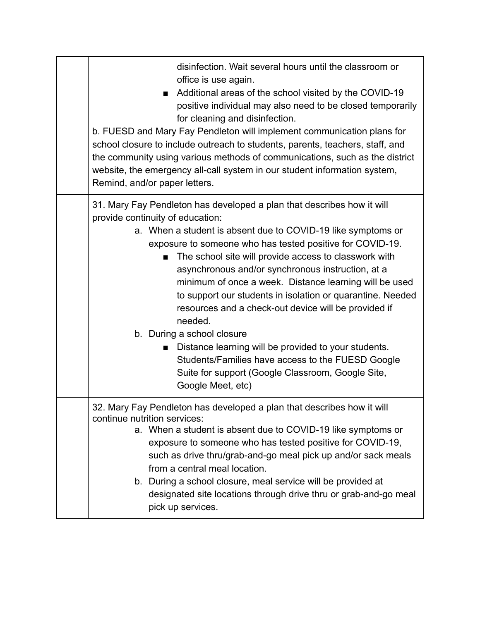| disinfection. Wait several hours until the classroom or<br>office is use again.<br>Additional areas of the school visited by the COVID-19<br>positive individual may also need to be closed temporarily<br>for cleaning and disinfection.<br>b. FUESD and Mary Fay Pendleton will implement communication plans for<br>school closure to include outreach to students, parents, teachers, staff, and<br>the community using various methods of communications, such as the district<br>website, the emergency all-call system in our student information system,<br>Remind, and/or paper letters.                                                                                                                                                                                     |
|---------------------------------------------------------------------------------------------------------------------------------------------------------------------------------------------------------------------------------------------------------------------------------------------------------------------------------------------------------------------------------------------------------------------------------------------------------------------------------------------------------------------------------------------------------------------------------------------------------------------------------------------------------------------------------------------------------------------------------------------------------------------------------------|
| 31. Mary Fay Pendleton has developed a plan that describes how it will<br>provide continuity of education:<br>a. When a student is absent due to COVID-19 like symptoms or<br>exposure to someone who has tested positive for COVID-19.<br>The school site will provide access to classwork with<br>asynchronous and/or synchronous instruction, at a<br>minimum of once a week. Distance learning will be used<br>to support our students in isolation or quarantine. Needed<br>resources and a check-out device will be provided if<br>needed.<br>b. During a school closure<br>Distance learning will be provided to your students.<br>$\mathbf{r}$<br>Students/Families have access to the FUESD Google<br>Suite for support (Google Classroom, Google Site,<br>Google Meet, etc) |
| 32. Mary Fay Pendleton has developed a plan that describes how it will<br>continue nutrition services:<br>a. When a student is absent due to COVID-19 like symptoms or<br>exposure to someone who has tested positive for COVID-19,<br>such as drive thru/grab-and-go meal pick up and/or sack meals<br>from a central meal location.<br>b. During a school closure, meal service will be provided at<br>designated site locations through drive thru or grab-and-go meal<br>pick up services.                                                                                                                                                                                                                                                                                        |